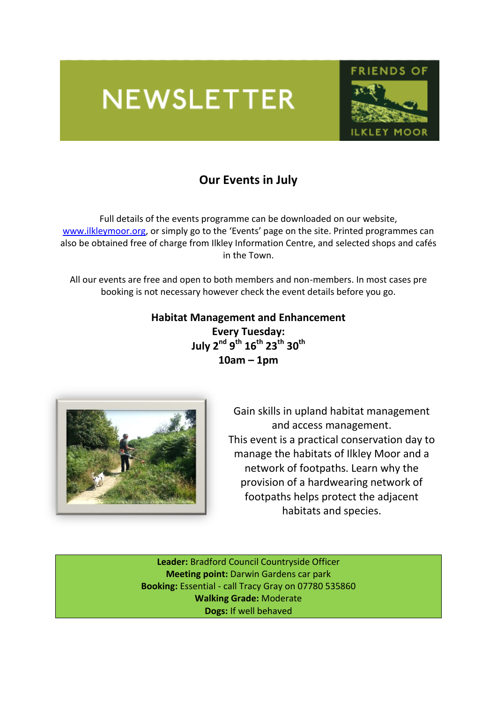# **NEWSLETTER**



## **Our Events in July**

Full details of the events programme can be downloaded on our website, [www.ilkleymoor.org,](http://www.ilkleymoor.org/) or simply go to the 'Events' page on the site. Printed programmes can also be obtained free of charge from Ilkley Information Centre, and selected shops and cafés in the Town.

All our events are free and open to both members and non-members. In most cases pre booking is not necessary however check the event details before you go.

#### **Habitat Management and Enhancement Every Tuesday: July 2 nd 9 th 16th 23 th 30th**

**10am – 1pm**



Gain skills in upland habitat management and access management. This event is a practical conservation day to manage the habitats of Ilkley Moor and a network of footpaths. Learn why the provision of a hardwearing network of footpaths helps protect the adjacent habitats and species.

**Leader:** Bradford Council Countryside Officer **Meeting point:** Darwin Gardens car park **Booking:** Essential - call Tracy Gray on 07780 535860 **Walking Grade:** Moderate **Dogs:** If well behaved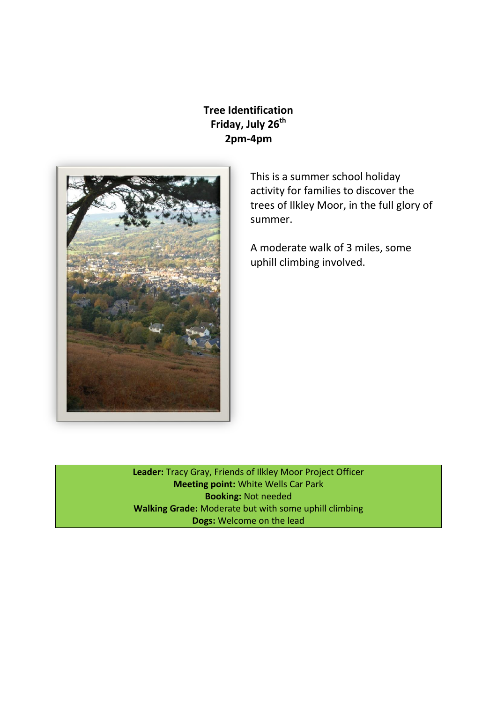### **Tree Identification Friday, July 26th 2pm-4pm**



This is a summer school holiday activity for families to discover the trees of Ilkley Moor, in the full glory of summer.

A moderate walk of 3 miles, some uphill climbing involved.

**Leader:** Tracy Gray, Friends of Ilkley Moor Project Officer **Meeting point:** White Wells Car Park **Booking:** Not needed **Walking Grade:** Moderate but with some uphill climbing **Dogs:** Welcome on the lead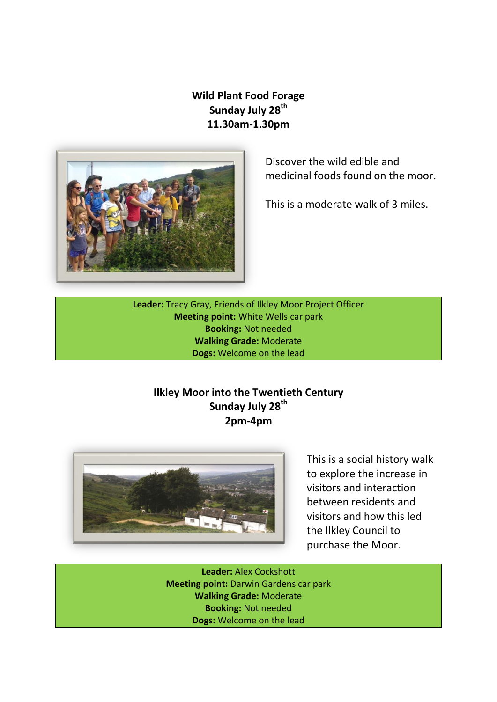#### **Wild Plant Food Forage Sunday July 28th 11.30am-1.30pm**



Discover the wild edible and medicinal foods found on the moor.

This is a moderate walk of 3 miles.

**Leader:** Tracy Gray, Friends of Ilkley Moor Project Officer **Meeting point:** White Wells car park **Booking:** Not needed **Walking Grade:** Moderate **Dogs:** Welcome on the lead

#### **Ilkley Moor into the Twentieth Century Sunday July 28th 2pm-4pm**



This is a social history walk to explore the increase in visitors and interaction between residents and visitors and how this led the Ilkley Council to purchase the Moor.

**Leader:** Alex Cockshott **Meeting point:** Darwin Gardens car park **Walking Grade:** Moderate **Booking:** Not needed **Dogs:** Welcome on the lead